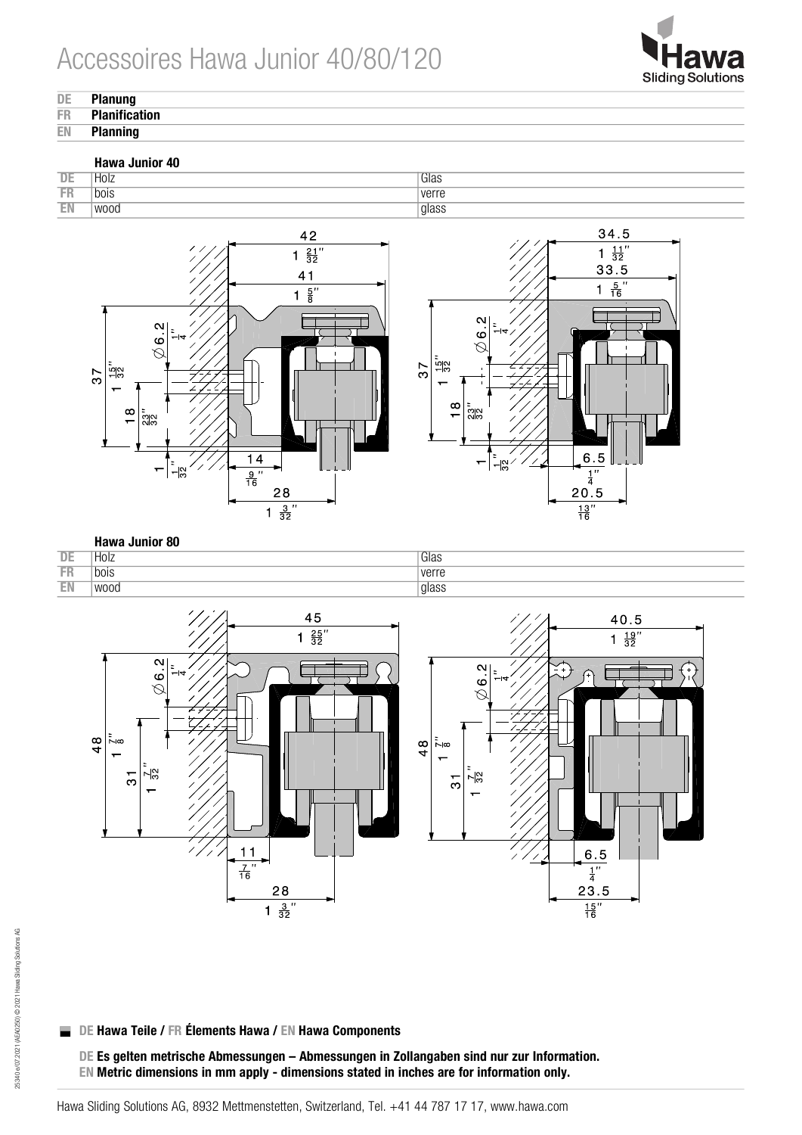

## **DE Planung**<br>FR Planifica

- **FR** Planification
- **Planning**

### Hawa Junior 40







#### **Hawa Junior 80** DE | Holz Glas FR | bois verre EN | wood | glass



#### DE Hawa Teile / FR Élements Hawa / EN Hawa Components  $\mathcal{L}_{\mathcal{A}}$

DE Es gelten metrische Abmessungen – Abmessungen in Zollangaben sind nur zur Information. EN Metric dimensions in mm apply - dimensions stated in inches are for information only.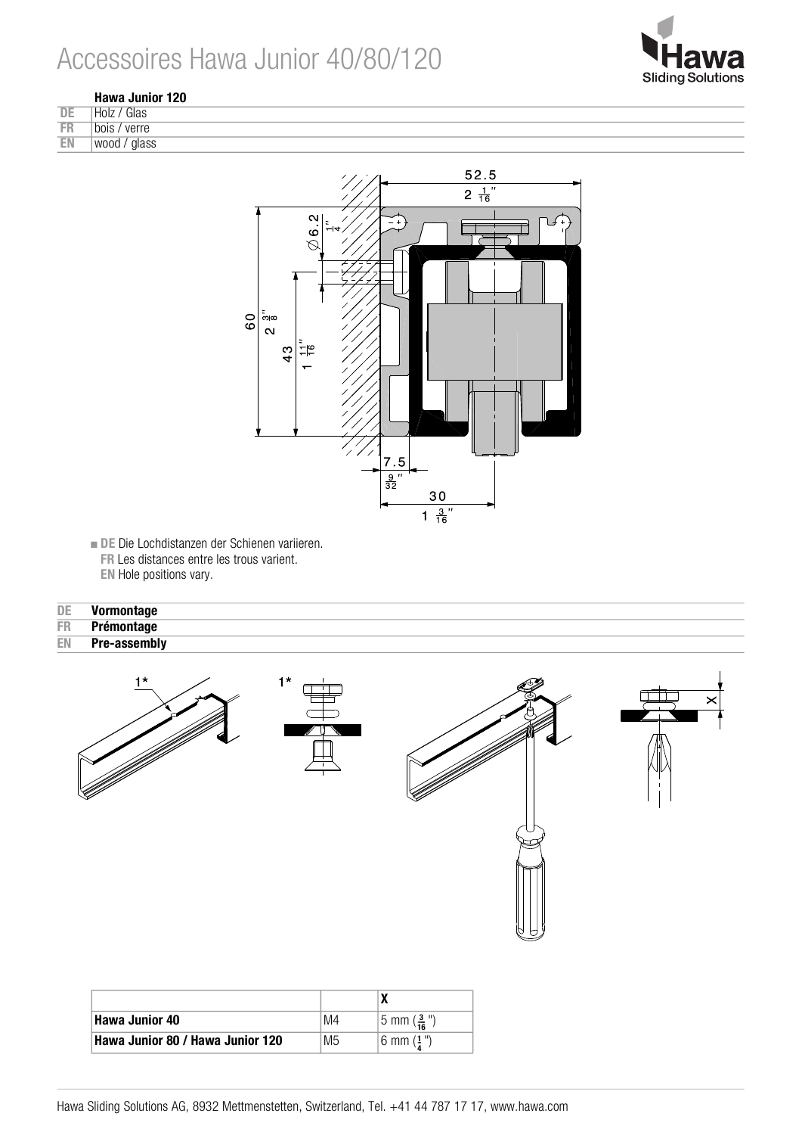



|           | Hawa Junior 120 |  |  |
|-----------|-----------------|--|--|
| DE        | THolz / Glas    |  |  |
| <b>FR</b> | bois / verre    |  |  |
| EN        | wood / glass    |  |  |



■ DE Die Lochdistanzen der Schienen variieren. FR Les distances entre les trous varient. EN Hole positions vary.

| DE | Vormontage   |
|----|--------------|
| FR | Prémontage   |
| EN | Pre-assembly |



| <b>Hawa Junior 40</b>            | M4 | $ 5 \text{ mm} (\frac{3}{16} )$ |
|----------------------------------|----|---------------------------------|
| Hawa Junior 80 / Hawa Junior 120 | M5 | $6 \text{ mm} (1")$             |